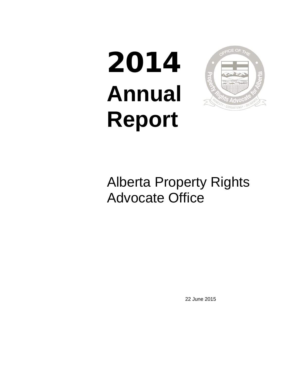# 2014 **Annual Report**



## Alberta Property Rights Advocate Office

22 June 2015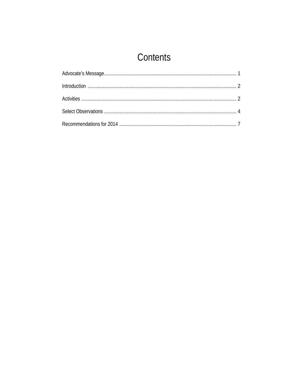## Contents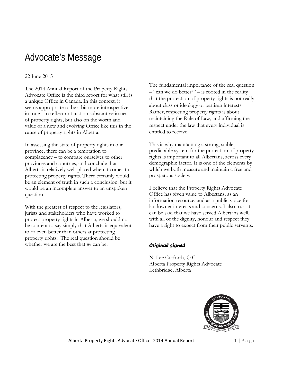## Advocate's Message

#### 22 June 2015

The 2014 Annual Report of the Property Rights Advocate Office is the third report for what still is a unique Office in Canada. In this context, it seems appropriate to be a bit more introspective in tone - to reflect not just on substantive issues of property rights, but also on the worth and value of a new and evolving Office like this in the cause of property rights in Alberta.

In assessing the state of property rights in our province, there can be a temptation to complacency – to compare ourselves to other provinces and countries, and conclude that Alberta is relatively well-placed when it comes to protecting property rights. There certainly would be an element of truth in such a conclusion, but it would be an incomplete answer to an unspoken question.

With the greatest of respect to the legislators, jurists and stakeholders who have worked to protect property rights in Alberta, we should not be content to say simply that Alberta is equivalent to or even better than others at protecting property rights. The real question should be whether we are the best that *we* can be.

The fundamental importance of the real question  $-$  "can we do better?" – is rooted in the reality that the protection of property rights is not really about class or ideology or partisan interests. Rather, respecting property rights is about maintaining the Rule of Law, and affirming the respect under the law that every individual is entitled to receive.

This is why maintaining a strong, stable, predictable system for the protection of property rights is important to all Albertans, across every demographic factor. It is one of the elements by which we both measure and maintain a free and prosperous society.

I believe that the Property Rights Advocate Office has given value to Albertans, as an information resource, and as a public voice for landowner interests and concerns. I also trust it can be said that we have served Albertans well, with all of the dignity, honour and respect they have a right to expect from their public servants.

#### *Original signed*

N. Lee Cutforth, Q.C. Alberta Property Rights Advocate Lethbridge, Alberta

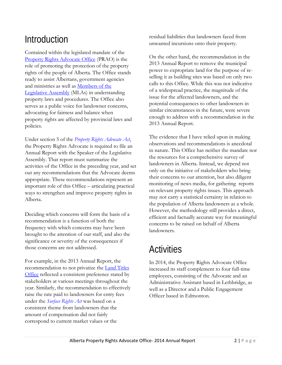## **Introduction**

Contained within the legislated mandate of the [Property Rights Advocate Office](http://propertyrights.alberta.ca/) (PRAO) is the role of promoting the protection of the property rights of the people of Alberta. The Office stands ready to assist Albertans, government agencies and ministries as well as [Members of the](http://www.assembly.ab.ca/net/index.aspx?p=mla_home)  [Legislative Assembly](http://www.assembly.ab.ca/net/index.aspx?p=mla_home) (MLAs) in understanding property laws and procedures. The Office also serves as a public voice for landowner concerns, advocating for fairness and balance when property rights are affected by provincial laws and policies.

Under section 5 of the *[Property Rights Advocate Act](hthttp://www.qp.alberta.ca/1266.cfm?page=p26p5.cfm&leg_type=Acts&isbncln=9780779773978&display=html)*, the Property Rights Advocate is required to file an Annual Report with the Speaker of the Legislative Assembly. That report must summarize the activities of the Office in the preceding year, and set out any recommendations that the Advocate deems appropriate. These recommendations represent an important role of this Office – articulating practical ways to strengthen and improve property rights in Alberta.

Deciding which concerns will form the basis of a recommendation is a function of both the frequency with which concerns may have been brought to the attention of our staff, and also the significance or severity of the consequences if those concerns are not addressed.

For example, in the 2013 Annual Report, the recommendation to not privatize the [Land Titles](https://www.servicealberta.ca/LandTitles.cfm)  [Office](https://www.servicealberta.ca/LandTitles.cfm) reflected a consistent preference stated by stakeholders at various meetings throughout the year. Similarly, the recommendation to effectively raise the rate paid to landowners for entry fees under the *[Surface Rights Act](http://www.qp.alberta.ca/1266.cfm?page=S24.cfm&leg_type=Acts&isbncln=9780779784103&display=html)* was based on a consistent theme from landowners that the amount of compensation did not fairly correspond to current market values or the

residual liabilities that landowners faced from unwanted incursions onto their property.

On the other hand, the recommendation in the 2013 Annual Report to remove the municipal power to expropriate land for the purpose of reselling it as building sites was based on only two calls to this Office. While this was not indicative of a widespread practice, the magnitude of the issue for the affected landowners, and the potential consequences to other landowners in similar circumstances in the future, were severe enough to address with a recommendation in the 2013 Annual Report.

The evidence that I have relied upon in making observations and recommendations is anecdotal in nature. This Office has neither the mandate nor the resources for a comprehensive survey of landowners in Alberta. Instead, we depend not only on the initiative of stakeholders who bring their concerns to our attention, but also diligent monitoring of news media, for gathering reports on relevant property rights issues. This approach may not carry a statistical certainty in relation to the population of Alberta landowners as a whole. However, the methodology still provides a direct, efficient and factually accurate way for meaningful concerns to be raised on behalf of Alberta landowners.

## **Activities**

In 2014, the Property Rights Advocate Office increased its staff complement to four full-time employees, consisting of the Advocate and an Administrative Assistant based in Lethbridge, as well as a Director and a Public Engagement Officer based in Edmonton.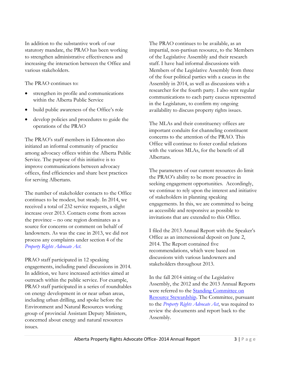In addition to the substantive work of our statutory mandate, the PRAO has been working to strengthen administrative effectiveness and increasing the interaction between the Office and various stakeholders.

The PRAO continues to:

- strengthen its profile and communications within the Alberta Public Service
- build public awareness of the Office's role
- develop policies and procedures to guide the operations of the PRAO

The PRAO's staff members in Edmonton also initiated an informal community of practice among advocacy offices within the Alberta Public Service. The purpose of this initiative is to improve communications between advocacy offices, find efficiencies and share best practices for serving Albertans.

The number of stakeholder contacts to the Office continues to be modest, but steady. In 2014, we received a total of 232 service requests, a slight increase over 2013. Contacts come from across the province – no one region dominates as a source for concerns or comment on behalf of landowners. As was the case in 2013, we did not process any complaints under section 4 of the *[Property Rights Advocate Act](http://www.qp.alberta.ca/1266.cfm?page=p26p5.cfm&leg_type=Acts&isbncln=9780779773978&display=html)*.

PRAO staff participated in 12 speaking engagements, including panel discussions in 2014. In addition, we have increased activities aimed at outreach within the public service. For example, PRAO staff participated in a series of roundtables on energy development in or near urban areas, including urban drilling, and spoke before the Environment and Natural Resources working group of provincial Assistant Deputy Ministers, concerned about energy and natural resources issues.

The PRAO continues to be available, as an impartial, non-partisan resource, to the Members of the Legislative Assembly and their research staff. I have had informal discussions with Members of the Legislative Assembly from three of the four political parties with a caucus in the Assembly in 2014, as well as discussions with a researcher for the fourth party. I also sent regular communications to each party caucus represented in the Legislature, to confirm my ongoing availability to discuss property rights issues.

The MLAs and their constituency offices are important conduits for channeling constituent concerns to the attention of the PRAO. This Office will continue to foster cordial relations with the various MLAs, for the benefit of all Albertans.

The parameters of our current resources do limit the PRAO's ability to be more proactive in seeking engagement opportunities. Accordingly, we continue to rely upon the interest and initiative of stakeholders in planning speaking engagements. In this, we are committed to being as accessible and responsive as possible to invitations that are extended to this Office.

I filed the 2013 Annual Report with the Speaker's Office as an intersessional deposit on June 2, 2014. The Report contained five recommendations, which were based on discussions with various landowners and stakeholders throughout 2013.

In the fall 2014 sitting of the Legislative Assembly, the 2012 and the 2013 Annual Reports were referred to the [Standing Committee on](http://www.assembly.ab.ca/committees/resourcestewardship/PRA/PRA.html)  [Resource Stewardship.](http://www.assembly.ab.ca/committees/resourcestewardship/PRA/PRA.html) The Committee, pursuant to the *[Property Rights Advocate Act](http://www.qp.alberta.ca/1266.cfm?page=p26p5.cfm&leg_type=Acts&isbncln=9780779773978&display=html)*, was required to review the documents and report back to the Assembly.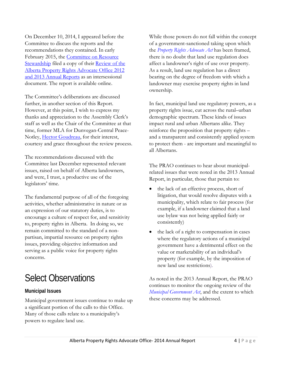On December 10, 2014, I appeared before the Committee to discuss the reports and the recommendations they contained. In early February 2015, the [Committee on Resource](http://www.assembly.ab.ca/committees/resourcestewardship/PRA/PRA.html)  [Stewardship](http://www.assembly.ab.ca/committees/resourcestewardship/PRA/PRA.html) filed a copy of their [Review of the](http://www.assembly.ab.ca/committees/resourcestewardship/PRA/PRA.html)  Alberta Property [Rights Advocate Office 2012](http://www.assembly.ab.ca/committees/resourcestewardship/PRA/PRA.html)  [and 2013 Annual Reports](http://www.assembly.ab.ca/committees/resourcestewardship/PRA/PRA.html) as an intersessional document. The report is available online.

The Committee's deliberations are discussed further, in another section of this Report. However, at this point, I wish to express my thanks and appreciation to the Assembly Clerk's staff as well as the Chair of the Committee at that time, former MLA for Dunvegan-Central Peace-Notley, [Hector Goudreau,](https://en.wikipedia.org/wiki/Hector_Goudreau) for their interest, courtesy and grace throughout the review process.

The recommendations discussed with the Committee last December represented relevant issues, raised on behalf of Alberta landowners, and were, I trust, a productive use of the legislators' time.

The fundamental purpose of all of the foregoing activities, whether administrative in nature or as an expression of our statutory duties, is to encourage a culture of respect for, and sensitivity to, property rights in Alberta. In doing so, we remain committed to the standard of a nonpartisan, impartial resource on property rights issues, providing objective information and serving as a public voice for property rights concerns.

## Select Observations

#### **Municipal Issues**

Municipal government issues continue to make up a significant portion of the calls to this Office. Many of those calls relate to a municipality's powers to regulate land use.

While those powers do not fall within the concept of a government-sanctioned taking upon which the *[Property Rights Advocate Act](http://www.qp.alberta.ca/1266.cfm?page=p26p5.cfm&leg_type=Acts&isbncln=9780779773978&display=html)* has been framed, there is no doubt that land use regulation does affect a landowner's right of use over property. As a result, land use regulation has a direct bearing on the degree of freedom with which a landowner may exercise property rights in land ownership.

In fact, municipal land use regulatory powers, as a property rights issue, cut across the rural–urban demographic spectrum. These kinds of issues impact rural and urban Albertans alike. They reinforce the proposition that property rights – and a transparent and consistently applied system to protect them - are important and meaningful to all Albertans.

The PRAO continues to hear about municipalrelated issues that were noted in the 2013 Annual Report, in particular, those that pertain to:

- the lack of an effective process, short of litigation, that would resolve disputes with a municipality, which relate to fair process (for example, if a landowner claimed that a land use bylaw was not being applied fairly or consistently)
- the lack of a right to compensation in cases where the regulatory actions of a municipal government have a detrimental effect on the value or marketability of an individual's property (for example, by the imposition of new land use restrictions).

As noted in the 2013 Annual Report, the PRAO continues to monitor the [ongoing review](http://mgareview.alberta.ca/) of the *[Municipal Government Act](http://www.qp.alberta.ca/1266.cfm?page=m26.cfm&leg_type=Acts&isbncln=9780779786190&display=html)*, and the extent to which these concerns may be addressed.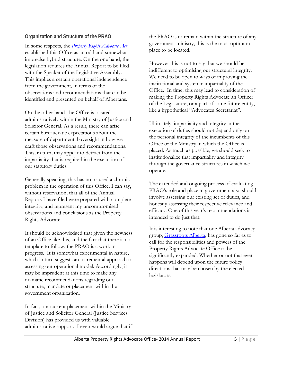#### **Organization and Structure of the PRAO**

In some respects, the *[Property Rights Advocate Act](http://www.qp.alberta.ca/1266.cfm?page=p26p5.cfm&leg_type=Acts&isbncln=9780779773978&display=html)* established this Office as an odd and somewhat imprecise hybrid structure. On the one hand, the legislation requires the Annual Report to be filed with the Speaker of the Legislative Assembly. This implies a certain operational independence from the government, in terms of the observations and recommendations that can be identified and presented on behalf of Albertans.

On the other hand, the Office is located administratively within the Ministry of Justice and Solicitor General. As a result, there can arise certain bureaucratic expectations about the measure of departmental oversight in how we craft those observations and recommendations. This, in turn, may appear to detract from the impartiality that is required in the execution of our statutory duties.

Generally speaking, this has not caused a chronic problem in the operation of this Office. I can say, without reservation, that all of the Annual Reports I have filed were prepared with complete integrity, and represent my uncompromised observations and conclusions as the Property Rights Advocate.

It should be acknowledged that given the newness of an Office like this, and the fact that there is no template to follow, the PRAO is a work in progress. It is somewhat experimental in nature, which in turn suggests an incremental approach to assessing our operational model. Accordingly, it may be imprudent at this time to make any dramatic recommendations regarding our structure, mandate or placement within the government organization.

In fact, our current placement within the Ministry of Justice and Solicitor General (Justice Services Division) has provided us with valuable administrative support. I even would argue that if the PRAO is to remain within the structure of any government ministry, this is the most optimum place to be located.

However this is not to say that we should be indifferent to optimising our structural integrity. We need to be open to ways of improving the institutional and systemic impartiality of the Office. In time, this may lead to consideration of making the Property Rights Advocate an Officer of the Legislature, or a part of some future entity, like a hypothetical "Advocates Secretariat".

Ultimately, impartiality and integrity in the execution of duties should not depend only on the personal integrity of the incumbents of this Office or the Ministry in which the Office is placed. As much as possible, we should seek to institutionalize that impartiality and integrity through the governance structures in which we operate.

The extended and ongoing process of evaluating PRAO's role and place in government also should involve assessing our existing set of duties, and honestly assessing their respective relevance and efficacy. One of this year's recommendations is intended to do just that.

It is interesting to note that one Alberta advocacy group, [Grassroots Alberta,](http://grassrootsalberta.ca/) has gone so far as to call for the responsibilities and powers of the Property Rights Advocate Office to be significantly expanded. Whether or not that ever happens will depend upon the future policy directions that may be chosen by the elected legislators.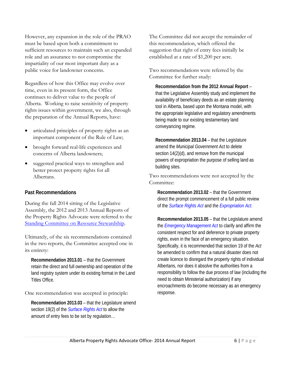However, any expansion in the role of the PRAO must be based upon both a commitment to sufficient resources to maintain such an expanded role and an assurance to not compromise the impartiality of our most important duty as a public voice for landowner concerns.

Regardless of how this Office may evolve over time, even in its present form, the Office continues to deliver value to the people of Alberta. Working to raise sensitivity of property rights issues within government, we also, through the preparation of the Annual Reports, have:

- articulated principles of property rights as an important component of the Rule of Law;
- brought forward real-life experiences and concerns of Alberta landowners;
- suggested practical ways to strengthen and better protect property rights for all Albertans.

#### **Past Recommendations**

During the fall 2014 sitting of the Legislative Assembly, the 2012 and 2013 Annual Reports of the Property Rights Advocate were referred to the [Standing Committee on Resource Stewardship.](http://www.assembly.ab.ca/committees/resourcestewardship/PRA/PRA.html)

Ultimately, of the six recommendations contained in the two reports, the Committee accepted one in its entirety:

**Recommendation 2013.01** – that the Government retain the direct and full ownership and operation of the land registry system under its existing format in the Land Titles Office.

One recommendation was accepted in principle:

**Recommendation 2013.03** – that the Legislature amend section 19(2) of the *[Surface Rights Act](http://www.qp.alberta.ca/1266.cfm?page=S24.cfm&leg_type=Acts&isbncln=9780779784103&display=html)* to allow the amount of entry fees to be set by regulation…

The Committee did not accept the remainder of this recommendation, which offered the suggestion that right of entry fees initially be established at a rate of \$1,200 per acre.

Two recommendations were referred by the Committee for further study:

**Recommendation from the 2012 Annual Report** – that the Legislative Assembly study and implement the availability of beneficiary deeds as an estate planning tool in Alberta, based upon the Montana model, with the appropriate legislative and regulatory amendments being made to our existing testamentary land conveyancing regime.

**Recommendation 2013.04** – that the Legislature amend the *[Municipal Government Act](http://www.qp.alberta.ca/1266.cfm?page=m26.cfm&leg_type=Acts&isbncln=9780779786190&display=html)* to delete section 14(2)(d), and remove from the municipal powers of expropriation the purpose of selling land as building sites.

Two recommendations were not accepted by the Committee:

**Recommendation 2013.02** – that the Government direct the prompt commencement of a full public review of the *[Surface Rights Act](http://www.qp.alberta.ca/1266.cfm?page=S24.cfm&leg_type=Acts&isbncln=9780779784103&display=html)* and the *[Expropriation Act](http://www.qp.alberta.ca/1266.cfm?page=E13.cfm&leg_type=Acts&isbncln=9780779783946&display=html)*.

**Recommendation 2013.05** – that the Legislature amend the *[Emergency Management Act](http://www.qp.alberta.ca/1266.cfm?page=m26.cfm&leg_type=Acts&isbncln=9780779786190&display=html)* to clarify and affirm the consistent respect for and deference to private property rights, even in the face of an emergency situation. Specifically, it is recommended that section 19 of the *Act* be amended to confirm that a natural disaster does not create licence to disregard the property rights of individual Albertans, nor does it absolve the authorities from a responsibility to follow the due process of law (including the need to obtain Ministerial authorization) if any encroachments do become necessary as an emergency response.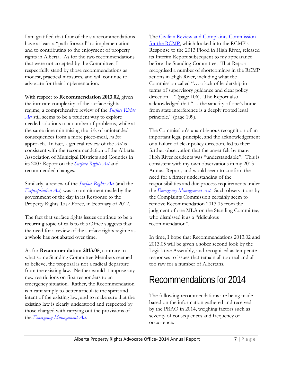I am gratified that four of the six recommendations have at least a "path forward" to implementation and to contributing to the enjoyment of property rights in Alberta. As for the two recommendations that were not accepted by the Committee, I respectfully stand by those recommendations as modest, practical measures, and will continue to advocate for their implementation.

With respect to **Recommendation 2013.02**, given the intricate complexity of the surface rights regime, a comprehensive review of the *[Surface Rights](http://www.qp.alberta.ca/1266.cfm?page=S24.cfm&leg_type=Acts&isbncln=9780779784103&display=html)  [Act](http://www.qp.alberta.ca/1266.cfm?page=S24.cfm&leg_type=Acts&isbncln=9780779784103&display=html)* still seems to be a prudent way to explore needed solutions to a number of problems, while at the same time minimising the risk of unintended consequences from a more piece-meal, *ad hoc* approach. In fact, a general review of the *Act* is consistent with the recommendation of the Alberta Association of Municipal Districts and Counties in its 2007 Report on the *[Surface Rights Act](http://www.qp.alberta.ca/1266.cfm?page=S24.cfm&leg_type=Acts&isbncln=9780779784103&display=html)* and recommended changes.

Similarly, a review of the *[Surface Rights Act](http://www.qp.alberta.ca/1266.cfm?page=S24.cfm&leg_type=Acts&isbncln=9780779784103&display=html)* (and the *[Expropriation Act](http://www.qp.alberta.ca/1266.cfm?page=E13.cfm&leg_type=Acts&isbncln=9780779783946&display=html)*) was a commitment made by the government of the day in its Response to the Property Rights Task Force, in February of 2012.

The fact that surface rights issues continue to be a recurring topic of calls to this Office suggests that the need for a review of the surface rights regime as a whole has not abated over time.

As for **Recommendation 2013.05**, contrary to what some Standing Committee Members seemed to believe, the proposal is not a radical departure from the existing law. Neither would it impose any new restrictions on first responders to an emergency situation. Rather, the Recommendation is meant simply to better articulate the spirit and intent of the existing law, and to make sure that the existing law is clearly understood and respected by those charged with carrying out the provisions of the *[Emergency Management Act](http://www.qp.alberta.ca/1266.cfm?page=m26.cfm&leg_type=Acts&isbncln=9780779786190&display=html)*.

The [Civilian Review and Complaints Commission](https://www.crcc-ccetp.gc.ca/)  [for the RCMP,](https://www.crcc-ccetp.gc.ca/) which looked into the RCMP's Response to the 2013 Flood in High River, released its Interim Report subsequent to my appearance before the Standing Committee. That Report recognised a number of shortcomings in the RCMP actions in High River, including what the Commission called "… a lack of leadership in terms of supervisory guidance and clear policy direction…" (page 106). The Report also acknowledged that "… the sanctity of one's home from state interference is a deeply rooted legal principle." (page 109).

The Commission's unambiguous recognition of an important legal principle, and the acknowledgement of a failure of clear policy direction, led to their further observation that the anger felt by many High River residents was "understandable". This is consistent with my own observations in my 2013 Annual Report, and would seem to confirm the need for a firmer understanding of the responsibilities and due process requirements under the *[Emergency Management Act](http://www.qp.alberta.ca/1266.cfm?page=m26.cfm&leg_type=Acts&isbncln=9780779786190&display=html)*. Such observations by the Complaints Commission certainly seem to remove Recommendation 2013.05 from the judgment of one MLA on the Standing Committee, who dismissed it as a "ridiculous recommendation".

In time, I hope that Recommendations 2013.02 and 2013.05 will be given a sober second look by the Legislative Assembly, and recognised as temperate responses to issues that remain all too real and all too raw for a number of Albertans.

## Recommendations for 2014

The following recommendations are being made based on the information gathered and received by the PRAO in 2014, weighing factors such as severity of consequences and frequency of occurrence.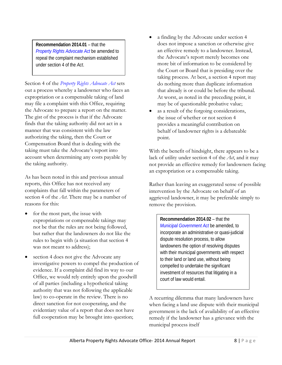**Recommendation 2014.01** – that the *[Property Rights Advocate Act](http://www.qp.alberta.ca/1266.cfm?page=p26p5.cfm&leg_type=Acts&isbncln=9780779773978&display=html)* be amended to repeal the complaint mechanism established under section 4 of the *Act*.

Section 4 of the *[Property Rights Advocate Act](http://www.qp.alberta.ca/1266.cfm?page=p26p5.cfm&leg_type=Acts&isbncln=9780779773978&display=html)* sets out a process whereby a landowner who faces an expropriation or a compensable taking of land may file a complaint with this Office, requiring the Advocate to prepare a report on the matter. The gist of the process is that if the Advocate finds that the taking authority did not act in a manner that was consistent with the law authorizing the taking, then the Court or Compensation Board that is dealing with the taking must take the Advocate's report into account when determining any costs payable by the taking authority.

As has been noted in this and previous annual reports, this Office has not received any complaints that fall within the parameters of section 4 of the *Act*. There may be a number of reasons for this:

- for the most part, the issue with expropriations or compensable takings may not be that the rules are not being followed, but rather that the landowners do not like the rules to begin with (a situation that section 4 was not meant to address);
- section 4 does not give the Advocate any investigative powers to compel the production of evidence. If a complaint did find its way to our Office, we would rely entirely upon the goodwill of all parties (including a hypothetical taking authority that was not following the applicable law) to co-operate in the review. There is no direct sanction for not cooperating, and the evidentiary value of a report that does not have full cooperation may be brought into question;
- a finding by the Advocate under section 4 does not impose a sanction or otherwise give an effective remedy to a landowner. Instead, the Advocate's report merely becomes one more bit of information to be considered by the Court or Board that is presiding over the taking process. At best, a section 4 report may do nothing more than duplicate information that already is or could be before the tribunal. At worst, as noted in the preceding point, it may be of questionable probative value;
- as a result of the forgoing considerations, the issue of whether or not section 4 provides a meaningful contribution on behalf of landowner rights is a debateable point.

With the benefit of hindsight, there appears to be a lack of utility under section 4 of the *Act*, and it may not provide an effective remedy for landowners facing an expropriation or a compensable taking.

Rather than leaving an exaggerated sense of possible intervention by the Advocate on behalf of an aggrieved landowner, it may be preferable simply to remove the provision.

**Recommendation 2014.02** – that the *[Municipal Government Act](http://www.qp.alberta.ca/1266.cfm?page=m26.cfm&leg_type=Acts&isbncln=9780779786190&display=html)* be amended, to incorporate an administrative or quasi-judicial dispute resolution process, to allow landowners the option of resolving disputes with their municipal governments with respect to their land or land use, without being compelled to undertake the significant investment of resources that litigating in a court of law would entail.

A recurring dilemma that many landowners have when facing a land use dispute with their municipal government is the lack of availability of an effective remedy if the landowner has a grievance with the municipal process itself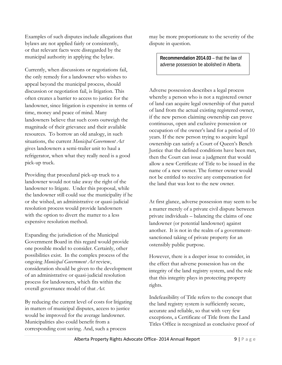Examples of such disputes include allegations that bylaws are not applied fairly or consistently, or that relevant facts were disregarded by the municipal authority in applying the bylaw.

Currently, when discussions or negotiations fail, the only remedy for a landowner who wishes to appeal beyond the municipal process, should discussion or negotiation fail, is litigation. This often creates a barrier to access to justice for the landowner, since litigation is expensive in terms of time, money and peace of mind. Many landowners believe that such costs outweigh the magnitude of their grievance and their available resources. To borrow an old analogy, in such situations, the current *Municipal Government Act* gives landowners a semi-trailer unit to haul a refrigerator, when what they really need is a good pick-up truck.

Providing that procedural pick-up truck to a landowner would not take away the right of the landowner to litigate. Under this proposal, while the landowner still could sue the municipality if he or she wished, an administrative or quasi-judicial resolution process would provide landowners with the option to divert the matter to a less expensive resolution method.

Expanding the jurisdiction of the Municipal Government Board in this regard would provide one possible model to consider. Certainly, other possibilities exist. In the complex process of the ongoing *[Municipal Government Act](http://www.qp.alberta.ca/1266.cfm?page=m26.cfm&leg_type=Acts&isbncln=9780779786190&display=html)* review, consideration should be given to the development of an administrative or quasi-judicial resolution process for landowners, which fits within the overall governance model of that *Act*.

By reducing the current level of costs for litigating in matters of municipal disputes, access to justice would be improved for the average landowner. Municipalities also could benefit from a corresponding cost saving. And, such a process

may be more proportionate to the severity of the dispute in question.

> **Recommendation 2014.03** – that the law of adverse possession be abolished in Alberta.

Adverse possession describes a legal process whereby a person who is not a registered owner of land can acquire legal ownership of that parcel of land from the actual existing registered owner, if the new person claiming ownership can prove continuous, open and exclusive possession or occupation of the owner's land for a period of 10 years. If the new person trying to acquire legal ownership can satisfy a Court of Queen's Bench Justice that the defined conditions have been met, then the Court can issue a judgment that would allow a new Certificate of Title to be issued in the name of a new owner. The former owner would not be entitled to receive any compensation for the land that was lost to the new owner.

At first glance, adverse possession may seem to be a matter merely of a private civil dispute between private individuals – balancing the claims of one landowner (or potential landowner) against another. It is not in the realm of a governmentsanctioned taking of private property for an ostensibly public purpose.

However, there is a deeper issue to consider, in the effect that adverse possession has on the integrity of the land registry system, and the role that this integrity plays in protecting property rights.

Indefeasibility of Title refers to the concept that the land registry system is sufficiently secure, accurate and reliable, so that with very few exceptions, a Certificate of Title from the Land Titles Office is recognized as conclusive proof of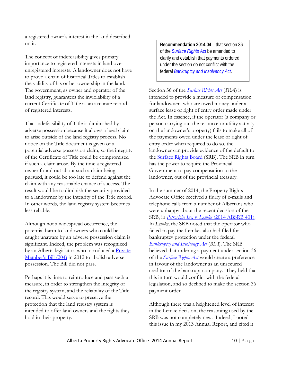a registered owner's interest in the land described on it.

The concept of indefeasibility gives primary importance to registered interests in land over unregistered interests. A landowner does not have to prove a chain of historical Titles to establish the validity of his or her ownership in the land. The government, as owner and operator of the land registry, guarantees the inviolability of a current Certificate of Title as an accurate record of registered interests.

That indefeasibility of Title is diminished by adverse possession because it allows a legal claim to arise outside of the land registry process. No notice on the Title document is given of a potential adverse possession claim, so the integrity of the Certificate of Title could be compromised if such a claim arose. By the time a registered owner found out about such a claim being pursued, it could be too late to defend against the claim with any reasonable chance of success. The result would be to diminish the security provided to a landowner by the integrity of the Title record. In other words, the land registry system becomes less reliable.

Although not a widespread occurrence, the potential harm to landowners who could be caught unaware by an adverse possession claim is significant. Indeed, the problem was recognized by an Alberta legislator, who introduced a Private [Member's Bill \(204\)](https://www.assembly.ab.ca/net/index.aspx?p=bills_status&selectbill=204&legl=27&session=5) in 2012 to abolish adverse possession. The Bill did not pass.

Perhaps it is time to reintroduce and pass such a measure, in order to strengthen the integrity of the registry system, and the reliability of the Title record. This would serve to preserve the protection that the land registry system is intended to offer land owners and the rights they hold in their property.

**Recommendation 2014.04** – that section 36 of the *[Surface Rights Act](http://www.qp.alberta.ca/1266.cfm?page=S24.cfm&leg_type=Acts&isbncln=9780779784103&display=html)* be amended to clarify and establish that payments ordered under the section do not conflict with the federal *[Bankruptcy and Insolvency Act](http://laws-lois.justice.gc.ca/eng/acts/b-3/)*.

Section 36 of the *[Surface Rights Act](http://www.qp.alberta.ca/1266.cfm?page=S24.cfm&leg_type=Acts&isbncln=9780779784103&display=html)* (*SRA*) is intended to provide a measure of compensation for landowners who are owed money under a surface lease or right of entry order made under the Act. In essence, if the operator (a company or person carrying out the resource or utility activity on the landowner's property) fails to make all of the payments owed under the lease or right of entry order when required to do so, the landowner can provide evidence of the default to the **Surface Rights Board** (SRB). The SRB in turn has the power to require the Provincial Government to pay compensation to the landowner, out of the provincial treasury.

In the summer of 2014, the Property Rights Advocate Office received a flurry of e-mails and telephone calls from a number of Albertans who were unhappy about the recent decision of the SRB, in *Petroglobe Inc. v. Lemke* (2014 ABSRB 401). In *Lemke*, the SRB noted that the operator who failed to pay the Lemkes also had filed for bankruptcy protection under the federal *[Bankruptcy and Insolvency Act](http://laws-lois.justice.gc.ca/eng/acts/b-3/)* (*BIA*). The SRB believed that ordering a payment under section 36 of the *[Surface Rights Act](http://www.qp.alberta.ca/1266.cfm?page=S24.cfm&leg_type=Acts&isbncln=9780779784103&display=html)* would create a preference in favour of the landowner as an unsecured creditor of the bankrupt company. They held that this in turn would conflict with the federal legislation, and so declined to make the section 36 payment order.

Although there was a heightened level of interest in the Lemke decision, the reasoning used by the SRB was not completely new. Indeed, I noted this issue in my 2013 Annual Report, and cited it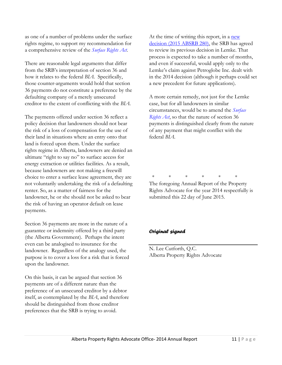as one of a number of problems under the surface rights regime, to support my recommendation for a comprehensive review of the *[Surface Rights Act](http://www.qp.alberta.ca/1266.cfm?page=S24.cfm&leg_type=Acts&isbncln=9780779784103&display=html)*.

There are reasonable legal arguments that differ from the SRB's interpretation of section 36 and how it relates to the federal *BIA*. Specifically, those counter-arguments would hold that section 36 payments do not constitute a preference by the defaulting company of a merely unsecured creditor to the extent of conflicting with the *BIA*.

The payments offered under section 36 reflect a policy decision that landowners should not bear the risk of a loss of compensation for the use of their land in situations where an entry onto that land is forced upon them. Under the surface rights regime in Alberta, landowners are denied an ultimate "right to say no" to surface access for energy extraction or utilities facilities. As a result, because landowners are not making a freewill choice to enter a surface lease agreement, they are not voluntarily undertaking the risk of a defaulting renter. So, as a matter of fairness for the landowner, he or she should not be asked to bear the risk of having an operator default on lease payments.

Section 36 payments are more in the nature of a guarantee or indemnity offered by a third party (the Alberta Government). Perhaps the intent even can be analogised to insurance for the landowner. Regardless of the analogy used, the purpose is to cover a loss for a risk that is forced upon the landowner.

On this basis, it can be argued that section 36 payments are of a different nature than the preference of an unsecured creditor by a debtor itself, as contemplated by the *BIA*, and therefore should be distinguished from those creditor preferences that the SRB is trying to avoid.

At the time of writing this report, in a new [decision \(2015 ABSRB 280\),](http://surfacerights.alberta.ca/Portals/0/Documents/Right%20of%20Entry/Decisions%20Rush/2015.0280.pdf) the SRB has agreed to review its previous decision in Lemke. That process is expected to take a number of months, and even if successful, would apply only to the Lemke's claim against Petroglobe Inc. dealt with in the 2014 decision (although it perhaps could set a new precedent for future applications).

A more certain remedy, not just for the Lemke case, but for all landowners in similar circumstances, would be to amend the *[Surface](http://www.qp.alberta.ca/1266.cfm?page=S24.cfm&leg_type=Acts&isbncln=9780779772841&display=html)  [Rights Act](http://www.qp.alberta.ca/1266.cfm?page=S24.cfm&leg_type=Acts&isbncln=9780779772841&display=html)*, so that the nature of section 36 payments is distinguished clearly from the nature of any payment that might conflict with the federal *BIA*.

\* \* \* \* \* \* The foregoing Annual Report of the Property

Rights Advocate for the year 2014 respectfully is submitted this 22 day of June 2015.

#### *Original signed*

N. Lee Cutforth, Q.C. Alberta Property Rights Advocate